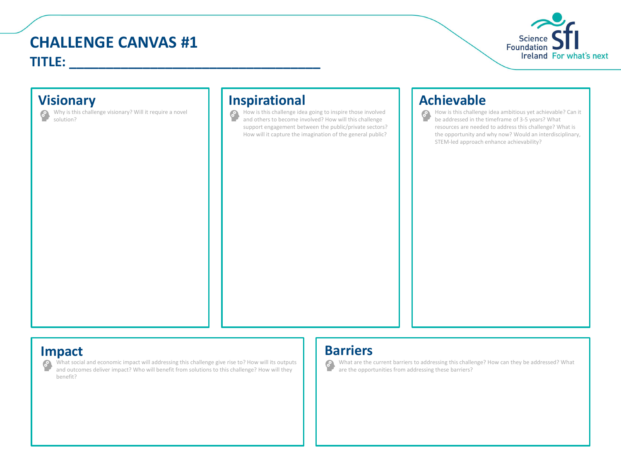# **CHALLENGE CANVAS #1 TITLE: \_\_\_\_\_\_\_\_\_\_\_\_\_\_\_\_\_\_\_\_\_\_\_\_\_\_\_\_\_\_\_\_\_\_**



Why is this challenge visionary? Will it require a novel solution?

### **Visionary Inspirational Achievable**

How is this challenge idea going to inspire those involved and others to become involved? How will this challenge support engagement between the public/private sectors? How will it capture the imagination of the general public?

How is this challenge idea ambitious yet achievable? Can it be addressed in the timeframe of 3-5 years? What resources are needed to address this challenge? What is the opportunity and why now? Would an interdisciplinary, STEM-led approach enhance achievability?

**Impact**<br>**P** What social and economic impact will addressing this challenge give rise to? How will its outputs<br>and outcomes deliver impact? Who will benefit from solutions to this challenge? How will they are the opport What social and economic impact will addressing this challenge give rise to? How will its outputs and outcomes deliver impact? Who will benefit from solutions to this challenge? How will they benefit?

What are the current barriers to addressing this challenge? How can they be addressed? What are the opportunities from addressing these barriers?